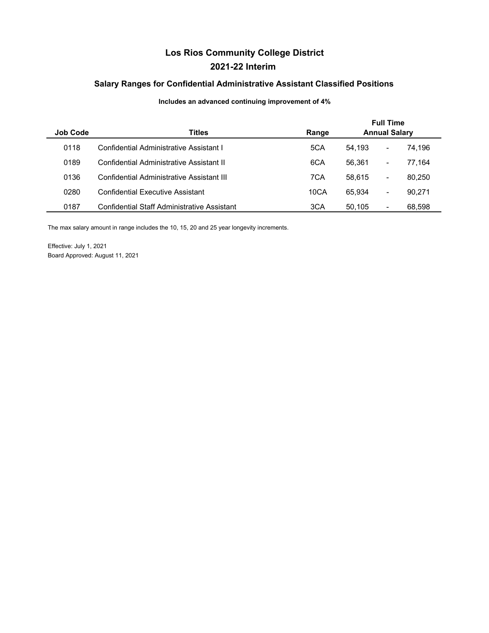# **Los Rios Community College District 2021-22 Interim**

### **Salary Ranges for Confidential Administrative Assistant Classified Positions**

### **Includes an advanced continuing improvement of 4%**

| <b>Job Code</b> | <b>Titles</b>                               | Range |        | <b>Full Time</b><br><b>Annual Salary</b> |        |  |  |
|-----------------|---------------------------------------------|-------|--------|------------------------------------------|--------|--|--|
| 0118            | Confidential Administrative Assistant I     | 5CA   | 54.193 | $\blacksquare$                           | 74.196 |  |  |
| 0189            | Confidential Administrative Assistant II    | 6CA   | 56.361 | $\blacksquare$                           | 77.164 |  |  |
| 0136            | Confidential Administrative Assistant III   | 7CA   | 58.615 | ۰                                        | 80.250 |  |  |
| 0280            | <b>Confidential Executive Assistant</b>     | 10CA  | 65.934 | $\blacksquare$                           | 90.271 |  |  |
| 0187            | Confidential Staff Administrative Assistant | 3CA   | 50.105 | $\blacksquare$                           | 68,598 |  |  |

The max salary amount in range includes the 10, 15, 20 and 25 year longevity increments.

Effective: July 1, 2021 Board Approved: August 11, 2021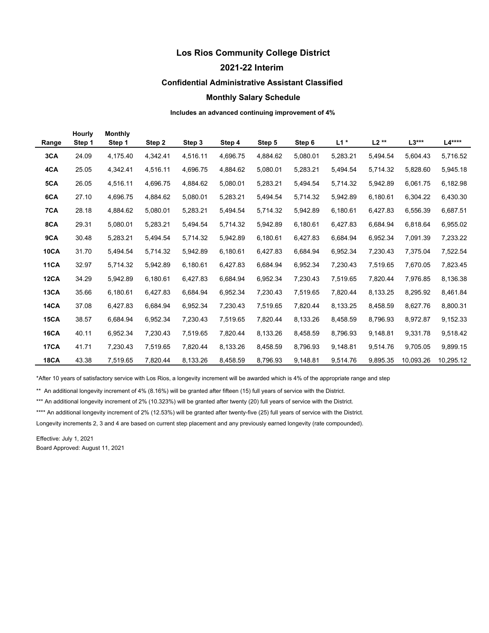## **Los Rios Community College District**

**2021-22 Interim** 

#### **Confidential Administrative Assistant Classified**

#### **Monthly Salary Schedule**

**Includes an advanced continuing improvement of 4%** 

| Range       | <b>Hourly</b><br>Step 1 | <b>Monthly</b><br>Step 1 | Step 2   | Step 3   | Step 4   | Step 5   | Step 6   | $L1*$    | $L2**$   | $L3***$   | $L4***$   |
|-------------|-------------------------|--------------------------|----------|----------|----------|----------|----------|----------|----------|-----------|-----------|
| 3CA         | 24.09                   | 4,175.40                 | 4,342.41 | 4,516.11 | 4,696.75 | 4,884.62 | 5,080.01 | 5,283.21 | 5,494.54 | 5,604.43  | 5,716.52  |
| 4CA         | 25.05                   | 4,342.41                 | 4,516.11 | 4,696.75 | 4,884.62 | 5,080.01 | 5,283.21 | 5,494.54 | 5,714.32 | 5,828.60  | 5,945.18  |
| 5CA         | 26.05                   | 4,516.11                 | 4,696.75 | 4,884.62 | 5,080.01 | 5,283.21 | 5,494.54 | 5,714.32 | 5,942.89 | 6,061.75  | 6,182.98  |
| 6CA         | 27.10                   | 4,696.75                 | 4,884.62 | 5,080.01 | 5,283.21 | 5,494.54 | 5,714.32 | 5,942.89 | 6,180.61 | 6,304.22  | 6,430.30  |
| 7CA         | 28.18                   | 4,884.62                 | 5,080.01 | 5,283.21 | 5,494.54 | 5,714.32 | 5,942.89 | 6,180.61 | 6,427.83 | 6,556.39  | 6,687.51  |
| 8CA         | 29.31                   | 5,080.01                 | 5,283.21 | 5,494.54 | 5,714.32 | 5,942.89 | 6,180.61 | 6,427.83 | 6,684.94 | 6,818.64  | 6,955.02  |
| 9CA         | 30.48                   | 5,283.21                 | 5,494.54 | 5,714.32 | 5,942.89 | 6,180.61 | 6,427.83 | 6,684.94 | 6,952.34 | 7,091.39  | 7,233.22  |
| <b>10CA</b> | 31.70                   | 5,494.54                 | 5,714.32 | 5,942.89 | 6,180.61 | 6,427.83 | 6,684.94 | 6,952.34 | 7,230.43 | 7,375.04  | 7,522.54  |
| <b>11CA</b> | 32.97                   | 5,714.32                 | 5,942.89 | 6,180.61 | 6,427.83 | 6,684.94 | 6,952.34 | 7,230.43 | 7,519.65 | 7,670.05  | 7,823.45  |
| 12CA        | 34.29                   | 5,942.89                 | 6,180.61 | 6,427.83 | 6,684.94 | 6,952.34 | 7,230.43 | 7,519.65 | 7,820.44 | 7,976.85  | 8,136.38  |
| <b>13CA</b> | 35.66                   | 6,180.61                 | 6,427.83 | 6,684.94 | 6,952.34 | 7,230.43 | 7,519.65 | 7,820.44 | 8,133.25 | 8,295.92  | 8,461.84  |
| <b>14CA</b> | 37.08                   | 6,427.83                 | 6,684.94 | 6,952.34 | 7,230.43 | 7,519.65 | 7,820.44 | 8,133.25 | 8,458.59 | 8,627.76  | 8,800.31  |
| <b>15CA</b> | 38.57                   | 6,684.94                 | 6,952.34 | 7,230.43 | 7,519.65 | 7,820.44 | 8,133.26 | 8,458.59 | 8,796.93 | 8,972.87  | 9,152.33  |
| <b>16CA</b> | 40.11                   | 6,952.34                 | 7,230.43 | 7,519.65 | 7,820.44 | 8,133.26 | 8,458.59 | 8,796.93 | 9,148.81 | 9,331.78  | 9,518.42  |
| <b>17CA</b> | 41.71                   | 7,230.43                 | 7,519.65 | 7,820.44 | 8,133.26 | 8,458.59 | 8,796.93 | 9,148.81 | 9,514.76 | 9,705.05  | 9,899.15  |
| <b>18CA</b> | 43.38                   | 7.519.65                 | 7.820.44 | 8.133.26 | 8.458.59 | 8.796.93 | 9.148.81 | 9.514.76 | 9.895.35 | 10.093.26 | 10,295.12 |

\*After 10 years of satisfactory service with Los Rios, a longevity increment will be awarded which is 4% of the appropriate range and step

\*\* An additional longevity increment of 4% (8.16%) will be granted after fifteen (15) full years of service with the District.

\*\*\* An additional longevity increment of 2% (10.323%) will be granted after twenty (20) full years of service with the District.

\*\*\*\* An additional longevity increment of 2% (12.53%) will be granted after twenty-five (25) full years of service with the District.

Longevity increments 2, 3 and 4 are based on current step placement and any previously earned longevity (rate compounded).

Effective: July 1, 2021 Board Approved: August 11, 2021